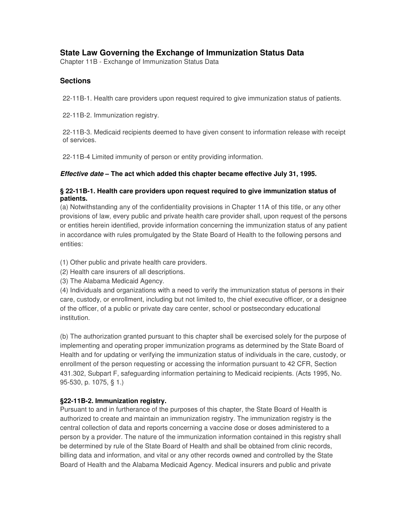# **State Law Governing the Exchange of Immunization Status Data**

Chapter 11B - Exchange of Immunization Status Data

## **Sections**

22-11B-1. Health care providers upon request required to give immunization status of patients.

22-11B-2. Immunization registry.

22-11B-3. Medicaid recipients deemed to have given consent to information release with receipt of services.

22-11B-4 Limited immunity of person or entity providing information.

#### *Effective date* **– The act which added this chapter became effective July 31, 1995.**

#### **§ 22-11B-1. Health care providers upon request required to give immunization status of patients.**

(a) Notwithstanding any of the confidentiality provisions in Chapter 11A of this title, or any other provisions of law, every public and private health care provider shall, upon request of the persons or entities herein identified, provide information concerning the immunization status of any patient in accordance with rules promulgated by the State Board of Health to the following persons and entities:

- (1) Other public and private health care providers.
- (2) Health care insurers of all descriptions.
- (3) The Alabama Medicaid Agency.

(4) Individuals and organizations with a need to verify the immunization status of persons in their care, custody, or enrollment, including but not limited to, the chief executive officer, or a designee of the officer, of a public or private day care center, school or postsecondary educational institution.

(b) The authorization granted pursuant to this chapter shall be exercised solely for the purpose of implementing and operating proper immunization programs as determined by the State Board of Health and for updating or verifying the immunization status of individuals in the care, custody, or enrollment of the person requesting or accessing the information pursuant to 42 CFR, Section 431.302, Subpart F, safeguarding information pertaining to Medicaid recipients. (Acts 1995, No. 95-530, p. 1075, § 1.)

## **§22-11B-2. Immunization registry.**

Pursuant to and in furtherance of the purposes of this chapter, the State Board of Health is authorized to create and maintain an immunization registry. The immunization registry is the central collection of data and reports concerning a vaccine dose or doses administered to a person by a provider. The nature of the immunization information contained in this registry shall be determined by rule of the State Board of Health and shall be obtained from clinic records, billing data and information, and vital or any other records owned and controlled by the State Board of Health and the Alabama Medicaid Agency. Medical insurers and public and private